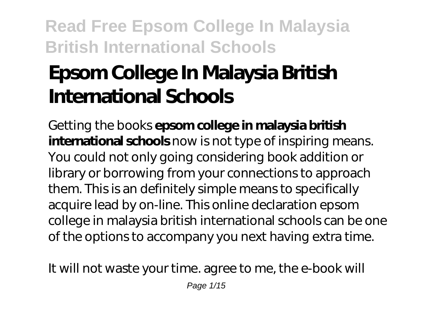# **Epsom College In Malaysia British International Schools**

Getting the books **epsom college in malaysia british international schools** now is not type of inspiring means. You could not only going considering book addition or library or borrowing from your connections to approach them. This is an definitely simple means to specifically acquire lead by on-line. This online declaration epsom college in malaysia british international schools can be one of the options to accompany you next having extra time.

It will not waste your time. agree to me, the e-book will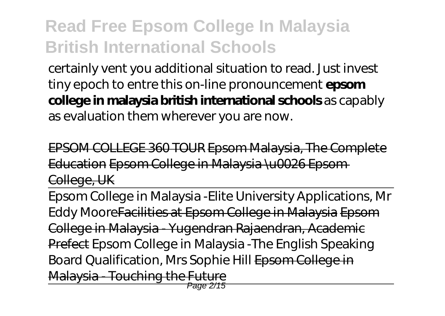certainly vent you additional situation to read. Just invest tiny epoch to entre this on-line pronouncement **epsom college in malaysia british international schools** as capably as evaluation them wherever you are now.

EPSOM COLLEGE 360 TOUR Epsom Malaysia, The Complete Education Epsom College in Malaysia \u0026 Epsom College, UK

Epsom College in Malaysia -Elite University Applications, Mr Eddy MooreFacilities at Epsom College in Malaysia Epsom College in Malaysia - Yugendran Rajaendran, Academic Prefect Epsom College in Malaysia -The English Speaking Board Qualification, Mrs Sophie Hill Epsom College in Malaysia - Touching the Future Page 2/15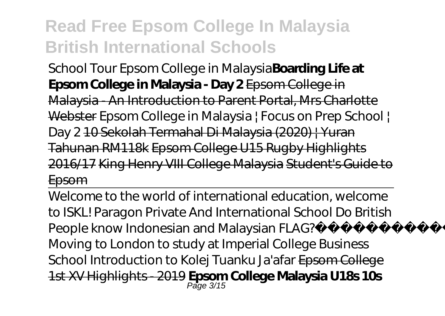School Tour Epsom College in Malaysia**Boarding Life at Epsom College in Malaysia - Day 2** Epsom College in Malaysia - An Introduction to Parent Portal, Mrs Charlotte Webster Epsom College in Malaysia | Focus on Prep School | Day 2 10 Sekolah Termahal Di Malaysia (2020) | Yuran Tahunan RM118k Epsom College U15 Rugby Highlights 2016/17 King Henry VIII College Malaysia Student's Guide to Epsom

Welcome to the world of international education, welcome to ISKL! Paragon Private And International School *Do British People know Indonesian and Malaysian FLAG? Moving to London to study at Imperial College Business School Introduction to Kolej Tuanku Ja'afar* Epsom College 1st XV Highlights - 2019 **Epsom College Malaysia U18s 10s** Page 3/15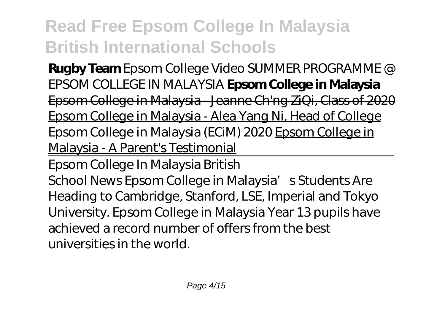**Rugby Team** *Epsom College Video SUMMER PROGRAMME @ EPSOM COLLEGE IN MALAYSIA* **Epsom College in Malaysia** Epsom College in Malaysia - Jeanne Ch'ng ZiQi, Class of 2020 Epsom College in Malaysia - Alea Yang Ni, Head of College *Epsom College in Malaysia (ECiM) 2020* Epsom College in Malaysia - A Parent's Testimonial

Epsom College In Malaysia British

School News Epsom College in Malaysia's Students Are Heading to Cambridge, Stanford, LSE, Imperial and Tokyo University. Epsom College in Malaysia Year 13 pupils have achieved a record number of offers from the best universities in the world.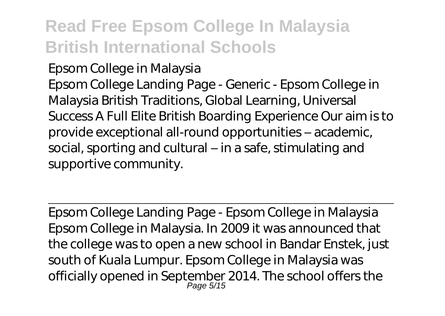Epsom College in Malaysia Epsom College Landing Page - Generic - Epsom College in Malaysia British Traditions, Global Learning, Universal Success A Full Elite British Boarding Experience Our aim is to provide exceptional all-round opportunities – academic, social, sporting and cultural – in a safe, stimulating and supportive community.

Epsom College Landing Page - Epsom College in Malaysia Epsom College in Malaysia. In 2009 it was announced that the college was to open a new school in Bandar Enstek, just south of Kuala Lumpur. Epsom College in Malaysia was officially opened in September 2014. The school offers the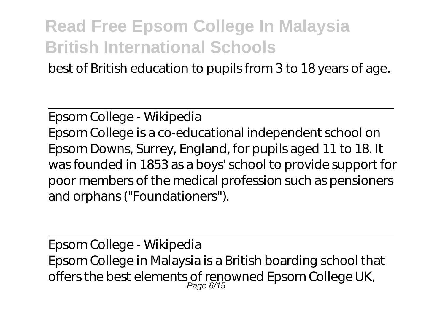best of British education to pupils from 3 to 18 years of age.

Epsom College - Wikipedia Epsom College is a co-educational independent school on Epsom Downs, Surrey, England, for pupils aged 11 to 18. It was founded in 1853 as a boys' school to provide support for poor members of the medical profession such as pensioners and orphans ("Foundationers").

Epsom College - Wikipedia Epsom College in Malaysia is a British boarding school that offers the best elements of renowned Epsom College UK,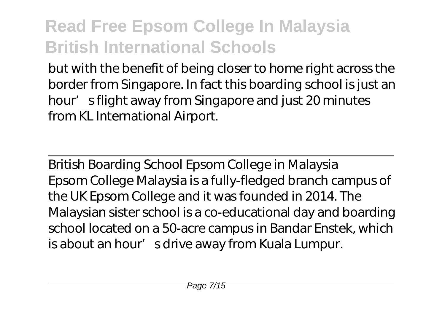but with the benefit of being closer to home right across the border from Singapore. In fact this boarding school is just an hour's flight away from Singapore and just 20 minutes from KL International Airport.

British Boarding School Epsom College in Malaysia Epsom College Malaysia is a fully-fledged branch campus of the UK Epsom College and it was founded in 2014. The Malaysian sister school is a co-educational day and boarding school located on a 50-acre campus in Bandar Enstek, which is about an hour' sdrive away from Kuala Lumpur.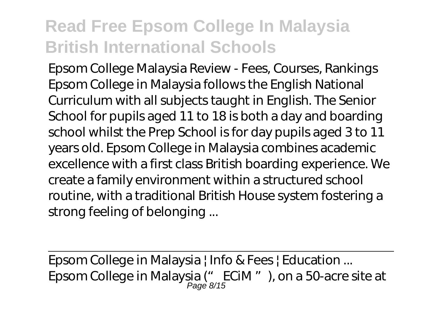Epsom College Malaysia Review - Fees, Courses, Rankings Epsom College in Malaysia follows the English National Curriculum with all subjects taught in English. The Senior School for pupils aged 11 to 18 is both a day and boarding school whilst the Prep School is for day pupils aged 3 to 11 years old. Epsom College in Malaysia combines academic excellence with a first class British boarding experience. We create a family environment within a structured school routine, with a traditional British House system fostering a strong feeling of belonging ...

Epsom College in Malaysia | Info & Fees | Education ... Epsom College in Malaysia ("DECiM "), on a 50-acre site at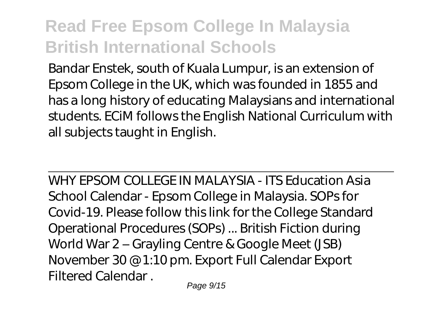Bandar Enstek, south of Kuala Lumpur, is an extension of Epsom College in the UK, which was founded in 1855 and has a long history of educating Malaysians and international students. ECiM follows the English National Curriculum with all subjects taught in English.

WHY EPSOM COLLEGE IN MALAYSIA - ITS Education Asia School Calendar - Epsom College in Malaysia. SOPs for Covid-19. Please follow this link for the College Standard Operational Procedures (SOPs) ... British Fiction during World War 2 – Grayling Centre & Google Meet (JSB) November 30 @ 1:10 pm. Export Full Calendar Export Filtered Calendar .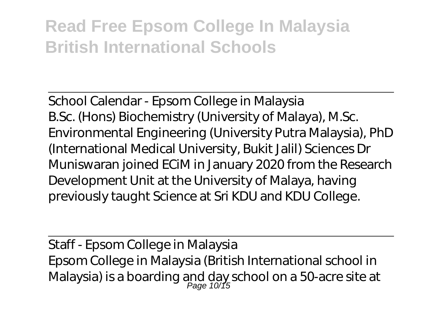School Calendar - Epsom College in Malaysia B.Sc. (Hons) Biochemistry (University of Malaya), M.Sc. Environmental Engineering (University Putra Malaysia), PhD (International Medical University, Bukit Jalil) Sciences Dr Muniswaran joined ECiM in January 2020 from the Research Development Unit at the University of Malaya, having previously taught Science at Sri KDU and KDU College.

Staff - Epsom College in Malaysia Epsom College in Malaysia (British International school in Malaysia) is a boarding and day school on a 50-acre site at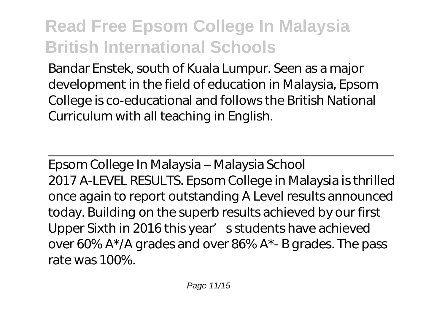Bandar Enstek, south of Kuala Lumpur. Seen as a major development in the field of education in Malaysia, Epsom College is co-educational and follows the British National Curriculum with all teaching in English.

Epsom College In Malaysia – Malaysia School 2017 A-LEVEL RESULTS. Epsom College in Malaysia is thrilled once again to report outstanding A Level results announced today. Building on the superb results achieved by our first Upper Sixth in 2016 this year' s students have achieved over 60% A\*/A grades and over 86% A\*- B grades. The pass rate was 100%.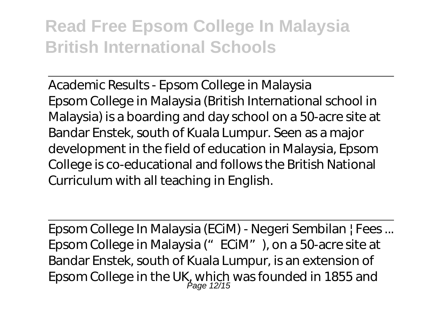Academic Results - Epsom College in Malaysia Epsom College in Malaysia (British International school in Malaysia) is a boarding and day school on a 50-acre site at Bandar Enstek, south of Kuala Lumpur. Seen as a major development in the field of education in Malaysia, Epsom College is co-educational and follows the British National Curriculum with all teaching in English.

Epsom College In Malaysia (ECiM) - Negeri Sembilan | Fees ... Epsom College in Malaysia ("ECiM"), on a 50-acre site at Bandar Enstek, south of Kuala Lumpur, is an extension of Epsom College in the UK, which was founded in 1855 and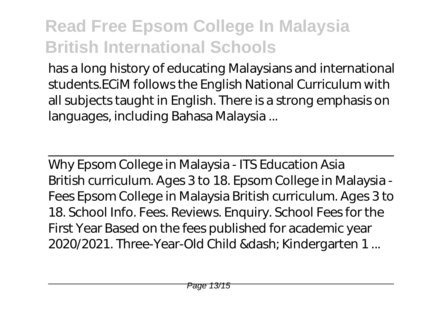has a long history of educating Malaysians and international students.ECiM follows the English National Curriculum with all subjects taught in English. There is a strong emphasis on languages, including Bahasa Malaysia ...

Why Epsom College in Malaysia - ITS Education Asia British curriculum. Ages 3 to 18. Epsom College in Malaysia - Fees Epsom College in Malaysia British curriculum. Ages 3 to 18. School Info. Fees. Reviews. Enquiry. School Fees for the First Year Based on the fees published for academic year 2020/2021. Three-Year-Old Child & dash; Kindergarten 1...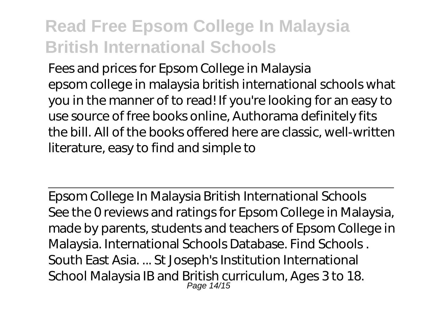Fees and prices for Epsom College in Malaysia epsom college in malaysia british international schools what you in the manner of to read! If you're looking for an easy to use source of free books online, Authorama definitely fits the bill. All of the books offered here are classic, well-written literature, easy to find and simple to

Epsom College In Malaysia British International Schools See the 0 reviews and ratings for Epsom College in Malaysia, made by parents, students and teachers of Epsom College in Malaysia. International Schools Database. Find Schools . South East Asia. ... St Joseph's Institution International School Malaysia IB and British curriculum, Ages 3 to 18.<br>Page 14/15